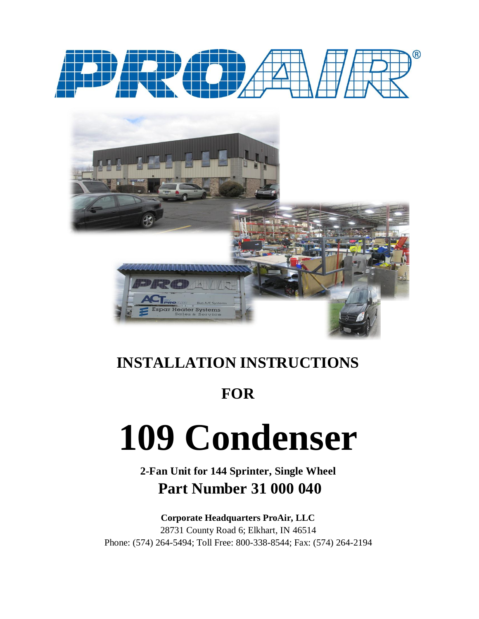



### **INSTALLATION INSTRUCTIONS**

### **FOR**

# **109 Condenser**

#### **2-Fan Unit for 144 Sprinter, Single Wheel Part Number 31 000 040**

#### **Corporate Headquarters ProAir, LLC**

28731 County Road 6; Elkhart, IN 46514 Phone: (574) 264-5494; Toll Free: 800-338-8544; Fax: (574) 264-2194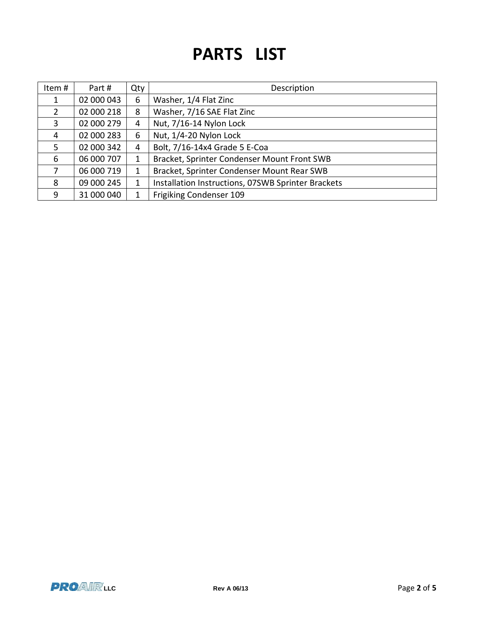## **PARTS LIST**

| Item# | Part#      | Qty | Description                                        |
|-------|------------|-----|----------------------------------------------------|
|       | 02 000 043 | 6   | Washer, 1/4 Flat Zinc                              |
| 2     | 02 000 218 | 8   | Washer, 7/16 SAE Flat Zinc                         |
| 3     | 02 000 279 | 4   | Nut, 7/16-14 Nylon Lock                            |
| 4     | 02 000 283 | 6   | Nut, 1/4-20 Nylon Lock                             |
| 5     | 02 000 342 | 4   | Bolt, 7/16-14x4 Grade 5 E-Coa                      |
| 6     | 06 000 707 | 1   | Bracket, Sprinter Condenser Mount Front SWB        |
| 7     | 06 000 719 | 1   | Bracket, Sprinter Condenser Mount Rear SWB         |
| 8     | 09 000 245 | 1   | Installation Instructions, 07SWB Sprinter Brackets |
| 9     | 31 000 040 | 1   | Frigiking Condenser 109                            |

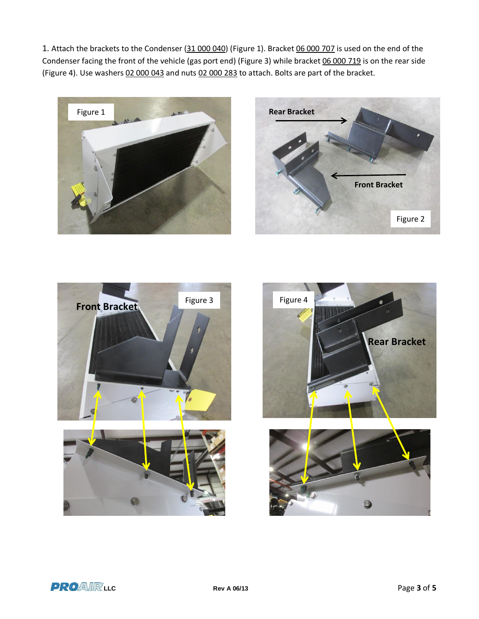1. Attach the brackets to the Condenser (31 000 040) (Figure 1). Bracket 06 000 707 is used on the end of the Condenser facing the front of the vehicle (gas port end) (Figure 3) while bracket 06 000 719 is on the rear side (Figure 4). Use washers 02 000 043 and nuts 02 000 283 to attach. Bolts are part of the bracket.









**LEC** Rev A 06/13 **Page 3** of 5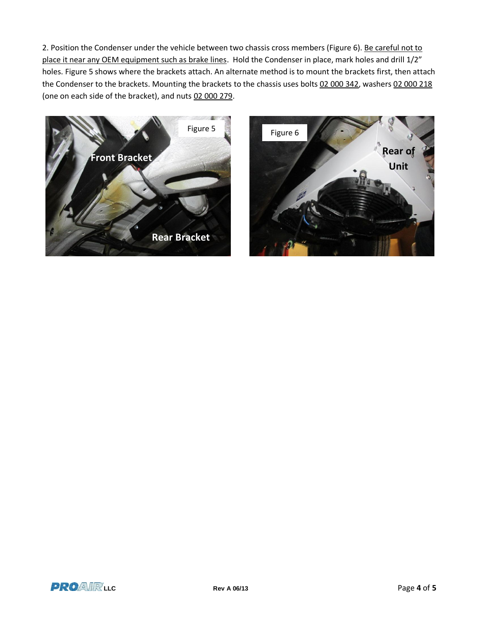2. Position the Condenser under the vehicle between two chassis cross members (Figure 6). Be careful not to place it near any OEM equipment such as brake lines. Hold the Condenser in place, mark holes and drill 1/2" holes. Figure 5 shows where the brackets attach. An alternate method is to mount the brackets first, then attach the Condenser to the brackets. Mounting the brackets to the chassis uses bolts 02 000 342, washers 02 000 218 (one on each side of the bracket), and nuts 02 000 279.